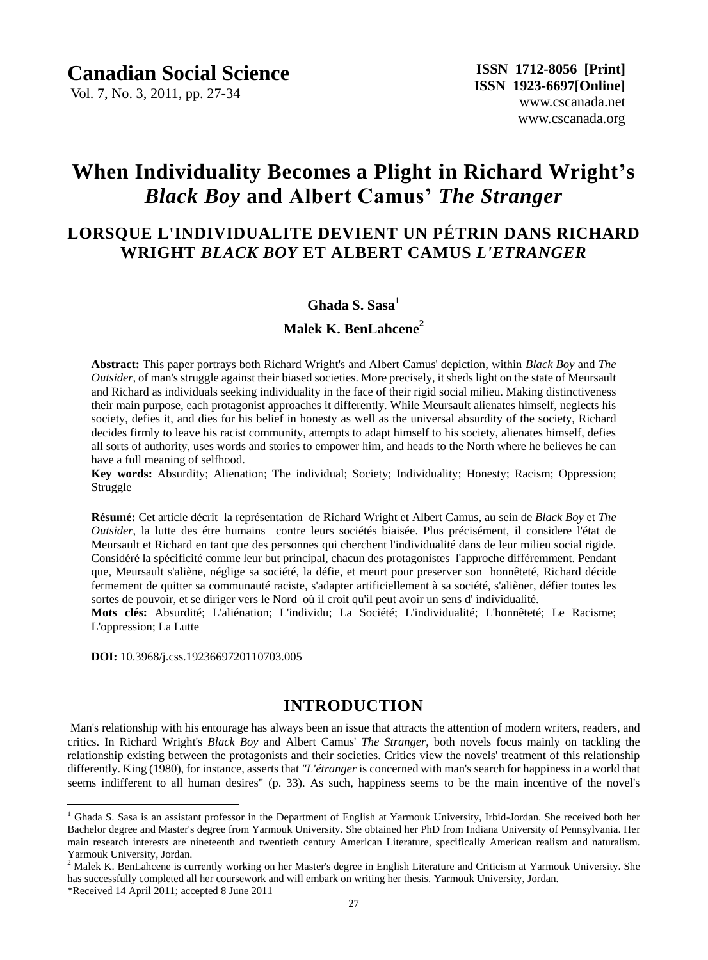Vol. 7, No. 3, 2011, pp. 27-34

# **When Individuality Becomes a Plight in Richard Wright's** *Black Boy* **and Albert Camus'** *The Stranger*

## **LORSQUE L'INDIVIDUALITE DEVIENT UN PÉTRIN DANS RICHARD WRIGHT** *BLACK BOY* **ET ALBERT CAMUS** *L'ETRANGER*

## **Ghada S. Sasa<sup>1</sup>**

## **Malek K. BenLahcene<sup>2</sup>**

**Abstract:** This paper portrays both Richard Wright's and Albert Camus' depiction, within *Black Boy* and *The Outsider,* of man's struggle against their biased societies. More precisely, it sheds light on the state of Meursault and Richard as individuals seeking individuality in the face of their rigid social milieu. Making distinctiveness their main purpose, each protagonist approaches it differently. While Meursault alienates himself, neglects his society, defies it, and dies for his belief in honesty as well as the universal absurdity of the society, Richard decides firmly to leave his racist community, attempts to adapt himself to his society, alienates himself, defies all sorts of authority, uses words and stories to empower him, and heads to the North where he believes he can have a full meaning of selfhood.

**Key words:** Absurdity; Alienation; The individual; Society; Individuality; Honesty; Racism; Oppression; Struggle

**Résumé:** Cet article décrit la représentation de Richard Wright et Albert Camus, au sein de *Black Boy* et *The Outsider*, la lutte des étre humains contre leurs sociétés biaisée. Plus précisément, il considere l'état de Meursault et Richard en tant que des personnes qui cherchent l'individualité dans de leur milieu social rigide. Consid é éla spécificité comme leur but principal, chacun des protagonistes l'approche différemment. Pendant que, Meursault s'aliène, néglige sa société, la défie, et meurt pour preserver son honnêteté, Richard décide fermement de quitter sa communauté raciste, s'adapter artificiellement à sa société, s'alièner, défier toutes les sortes de pouvoir, et se diriger vers le Nord où il croit qu'il peut avoir un sens d' individualité.

Mots clés: Absurdité; L'aliénation; L'individu; La Société; L'individualité; L'honnêteté; Le Racisme; L'oppression; La Lutte

**DOI:** 10.3968/j.css.1923669720110703.005

## **INTRODUCTION**

Man's relationship with his entourage has always been an issue that attracts the attention of modern writers, readers, and critics. In Richard Wright's *Black Boy* and Albert Camus' *The Stranger*, both novels focus mainly on tackling the relationship existing between the protagonists and their societies. Critics view the novels' treatment of this relationship differently. King (1980), for instance, asserts that *"L'étranger* is concerned with man's search for happiness in a world that seems indifferent to all human desires" (p. 33). As such, happiness seems to be the main incentive of the novel's

\*Received 14 April 2011; accepted 8 June 2011

 $\overline{a}$ 

<sup>&</sup>lt;sup>1</sup> Ghada S. Sasa is an assistant professor in the Department of English at Yarmouk University, Irbid-Jordan. She received both her Bachelor degree and Master's degree from Yarmouk University. She obtained her PhD from Indiana University of Pennsylvania. Her main research interests are nineteenth and twentieth century American Literature, specifically American realism and naturalism. Yarmouk University, Jordan.

<sup>&</sup>lt;sup>2</sup> Malek K. BenLahcene is currently working on her Master's degree in English Literature and Criticism at Yarmouk University. She has successfully completed all her coursework and will embark on writing her thesis. Yarmouk University, Jordan.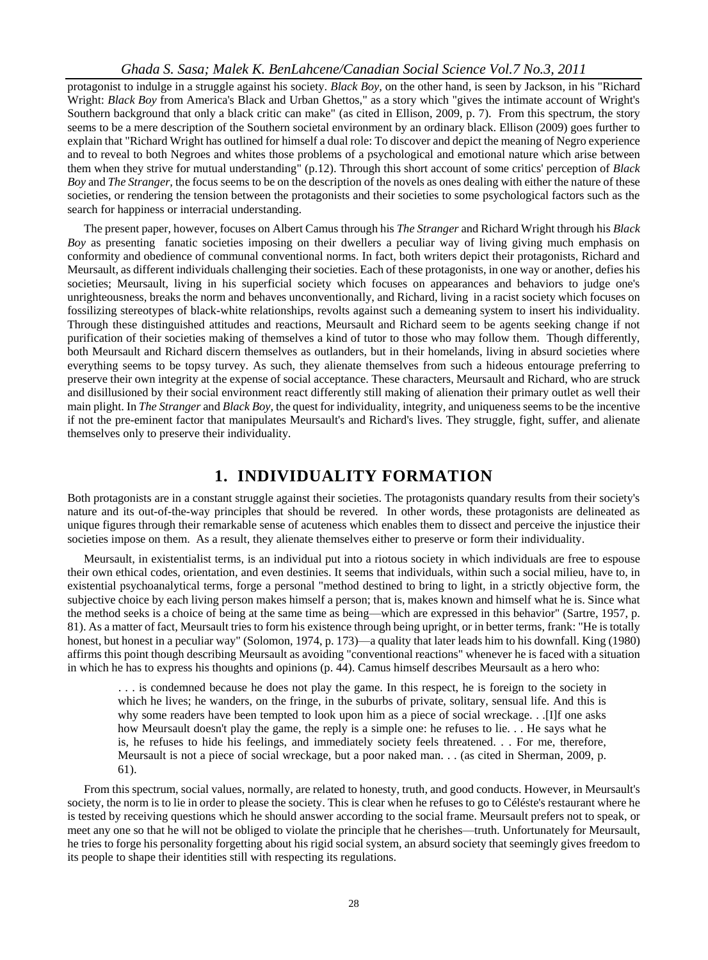protagonist to indulge in a struggle against his society. *Black Boy,* on the other hand, is seen by Jackson, in his "Richard Wright: *Black Boy* from America's Black and Urban Ghettos," as a story which "gives the intimate account of Wright's Southern background that only a black critic can make" (as cited in Ellison, 2009, p. 7). From this spectrum, the story seems to be a mere description of the Southern societal environment by an ordinary black. Ellison (2009) goes further to explain that "Richard Wright has outlined for himself a dual role: To discover and depict the meaning of Negro experience and to reveal to both Negroes and whites those problems of a psychological and emotional nature which arise between them when they strive for mutual understanding" (p.12). Through this short account of some critics' perception of *Black Boy* and *The Stranger,* the focus seems to be on the description of the novels as ones dealing with either the nature of these societies, or rendering the tension between the protagonists and their societies to some psychological factors such as the search for happiness or interracial understanding.

The present paper, however, focuses on Albert Camus through his *The Stranger* and Richard Wright through his *Black Boy* as presenting fanatic societies imposing on their dwellers a peculiar way of living giving much emphasis on conformity and obedience of communal conventional norms. In fact, both writers depict their protagonists, Richard and Meursault, as different individuals challenging their societies. Each of these protagonists, in one way or another, defies his societies; Meursault, living in his superficial society which focuses on appearances and behaviors to judge one's unrighteousness, breaks the norm and behaves unconventionally, and Richard, living in a racist society which focuses on fossilizing stereotypes of black-white relationships, revolts against such a demeaning system to insert his individuality. Through these distinguished attitudes and reactions, Meursault and Richard seem to be agents seeking change if not purification of their societies making of themselves a kind of tutor to those who may follow them. Though differently, both Meursault and Richard discern themselves as outlanders, but in their homelands, living in absurd societies where everything seems to be topsy turvey. As such, they alienate themselves from such a hideous entourage preferring to preserve their own integrity at the expense of social acceptance. These characters, Meursault and Richard, who are struck and disillusioned by their social environment react differently still making of alienation their primary outlet as well their main plight. In *The Stranger* and *Black Boy,* the quest for individuality, integrity, and uniqueness seems to be the incentive if not the pre-eminent factor that manipulates Meursault's and Richard's lives. They struggle, fight, suffer, and alienate themselves only to preserve their individuality.

## **1. INDIVIDUALITY FORMATION**

Both protagonists are in a constant struggle against their societies. The protagonists quandary results from their society's nature and its out-of-the-way principles that should be revered. In other words, these protagonists are delineated as unique figures through their remarkable sense of acuteness which enables them to dissect and perceive the injustice their societies impose on them. As a result, they alienate themselves either to preserve or form their individuality.

Meursault, in existentialist terms, is an individual put into a riotous society in which individuals are free to espouse their own ethical codes, orientation, and even destinies. It seems that individuals, within such a social milieu, have to, in existential psychoanalytical terms, forge a personal "method destined to bring to light, in a strictly objective form, the subjective choice by each living person makes himself a person; that is, makes known and himself what he is. Since what the method seeks is a choice of being at the same time as being—which are expressed in this behavior" (Sartre, 1957, p. 81). As a matter of fact, Meursault tries to form his existence through being upright, or in better terms, frank: "He is totally honest, but honest in a peculiar way" (Solomon, 1974, p. 173)—a quality that later leads him to his downfall. King (1980) affirms this point though describing Meursault as avoiding "conventional reactions" whenever he is faced with a situation in which he has to express his thoughts and opinions (p. 44). Camus himself describes Meursault as a hero who:

 . . . is condemned because he does not play the game. In this respect, he is foreign to the society in which he lives; he wanders, on the fringe, in the suburbs of private, solitary, sensual life. And this is why some readers have been tempted to look upon him as a piece of social wreckage. . .[I]f one asks how Meursault doesn't play the game, the reply is a simple one: he refuses to lie. . . He says what he is, he refuses to hide his feelings, and immediately society feels threatened. . . For me, therefore, Meursault is not a piece of social wreckage, but a poor naked man. . . (as cited in Sherman, 2009, p. 61).

From this spectrum, social values, normally, are related to honesty, truth, and good conducts. However, in Meursault's society, the norm is to lie in order to please the society. This is clear when he refuses to go to C d éste's restaurant where he is tested by receiving questions which he should answer according to the social frame. Meursault prefers not to speak, or meet any one so that he will not be obliged to violate the principle that he cherishes—truth. Unfortunately for Meursault, he tries to forge his personality forgetting about his rigid social system, an absurd society that seemingly gives freedom to its people to shape their identities still with respecting its regulations.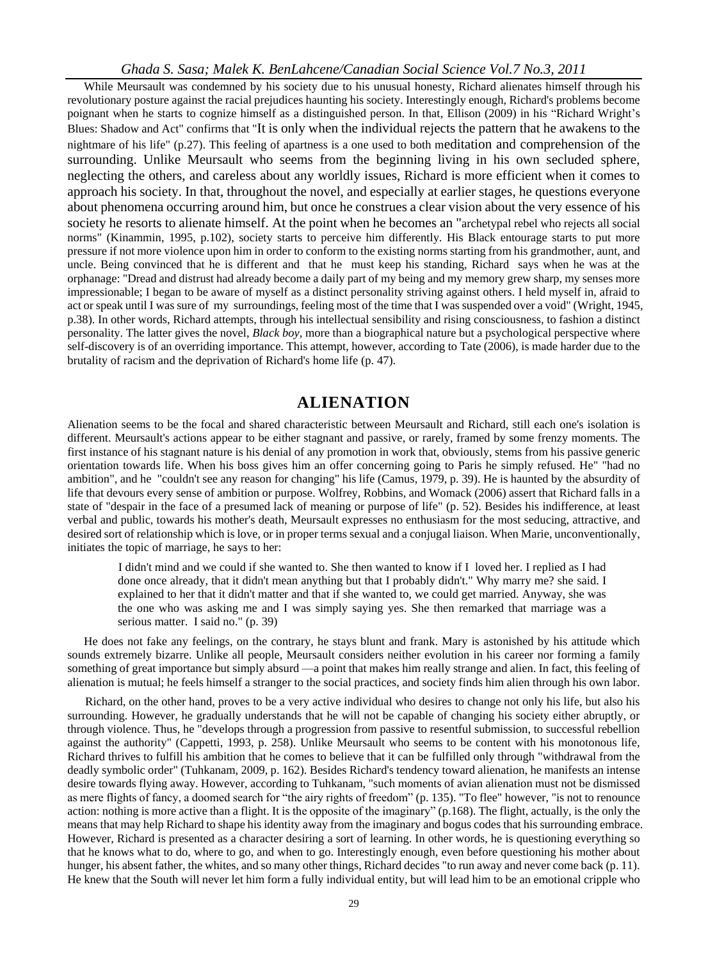#### *Ghada S. Sasa; Malek K. BenLahcene/Canadian Social Science Vol.7 No.3, 2011*

While Meursault was condemned by his society due to his unusual honesty. Richard alienates himself through his revolutionary posture against the racial prejudices haunting his society. Interestingly enough, Richard's problems become poignant when he starts to cognize himself as a distinguished person. In that, Ellison (2009) in his "Richard Wright's Blues: Shadow and Act" confirms that "It is only when the individual rejects the pattern that he awakens to the nightmare of his life" (p.27). This feeling of apartness is a one used to both meditation and comprehension of the surrounding. Unlike Meursault who seems from the beginning living in his own secluded sphere, neglecting the others, and careless about any worldly issues, Richard is more efficient when it comes to approach his society. In that, throughout the novel, and especially at earlier stages, he questions everyone about phenomena occurring around him, but once he construes a clear vision about the very essence of his society he resorts to alienate himself. At the point when he becomes an "archetypal rebel who rejects all social norms" (Kinammin, 1995, p.102), society starts to perceive him differently. His Black entourage starts to put more pressure if not more violence upon him in order to conform to the existing norms starting from his grandmother, aunt, and uncle. Being convinced that he is different and that he must keep his standing, Richard says when he was at the orphanage: "Dread and distrust had already become a daily part of my being and my memory grew sharp, my senses more impressionable; I began to be aware of myself as a distinct personality striving against others. I held myself in, afraid to act or speak until I was sure of my surroundings, feeling most of the time that I was suspended over a void" (Wright, 1945, p.38). In other words, Richard attempts, through his intellectual sensibility and rising consciousness, to fashion a distinct personality. The latter gives the novel, *Black boy,* more than a biographical nature but a psychological perspective where self-discovery is of an overriding importance. This attempt, however, according to Tate (2006), is made harder due to the brutality of racism and the deprivation of Richard's home life (p. 47).

## **ALIENATION**

Alienation seems to be the focal and shared characteristic between Meursault and Richard, still each one's isolation is different. Meursault's actions appear to be either stagnant and passive, or rarely, framed by some frenzy moments. The first instance of his stagnant nature is his denial of any promotion in work that, obviously, stems from his passive generic orientation towards life. When his boss gives him an offer concerning going to Paris he simply refused. He" "had no ambition", and he "couldn't see any reason for changing" his life (Camus, 1979, p. 39). He is haunted by the absurdity of life that devours every sense of ambition or purpose. Wolfrey, Robbins, and Womack (2006) assert that Richard falls in a state of "despair in the face of a presumed lack of meaning or purpose of life" (p. 52). Besides his indifference, at least verbal and public, towards his mother's death, Meursault expresses no enthusiasm for the most seducing, attractive, and desired sort of relationship which is love, or in proper terms sexual and a conjugal liaison. When Marie, unconventionally, initiates the topic of marriage, he says to her:

 I didn't mind and we could if she wanted to. She then wanted to know if I loved her. I replied as I had done once already, that it didn't mean anything but that I probably didn't." Why marry me? she said. I explained to her that it didn't matter and that if she wanted to, we could get married. Anyway, she was the one who was asking me and I was simply saying yes. She then remarked that marriage was a serious matter. I said no." (p. 39)

He does not fake any feelings, on the contrary, he stays blunt and frank. Mary is astonished by his attitude which sounds extremely bizarre. Unlike all people, Meursault considers neither evolution in his career nor forming a family something of great importance but simply absurd —a point that makes him really strange and alien. In fact, this feeling of alienation is mutual; he feels himself a stranger to the social practices, and society finds him alien through his own labor.

Richard, on the other hand, proves to be a very active individual who desires to change not only his life, but also his surrounding. However, he gradually understands that he will not be capable of changing his society either abruptly, or through violence. Thus, he "develops through a progression from passive to resentful submission, to successful rebellion against the authority" (Cappetti, 1993, p. 258). Unlike Meursault who seems to be content with his monotonous life, Richard thrives to fulfill his ambition that he comes to believe that it can be fulfilled only through "withdrawal from the deadly symbolic order" (Tuhkanam, 2009, p. 162). Besides Richard's tendency toward alienation, he manifests an intense desire towards flying away. However, according to Tuhkanam, "such moments of avian alienation must not be dismissed as mere flights of fancy, a doomed search for "the airy rights of freedom" (p. 135). "To flee" however, "is not to renounce action: nothing is more active than a flight. It is the opposite of the imaginary" (p.168). The flight, actually, is the only the means that may help Richard to shape his identity away from the imaginary and bogus codes that his surrounding embrace. However, Richard is presented as a character desiring a sort of learning. In other words, he is questioning everything so that he knows what to do, where to go, and when to go. Interestingly enough, even before questioning his mother about hunger, his absent father, the whites, and so many other things, Richard decides "to run away and never come back (p. 11). He knew that the South will never let him form a fully individual entity, but will lead him to be an emotional cripple who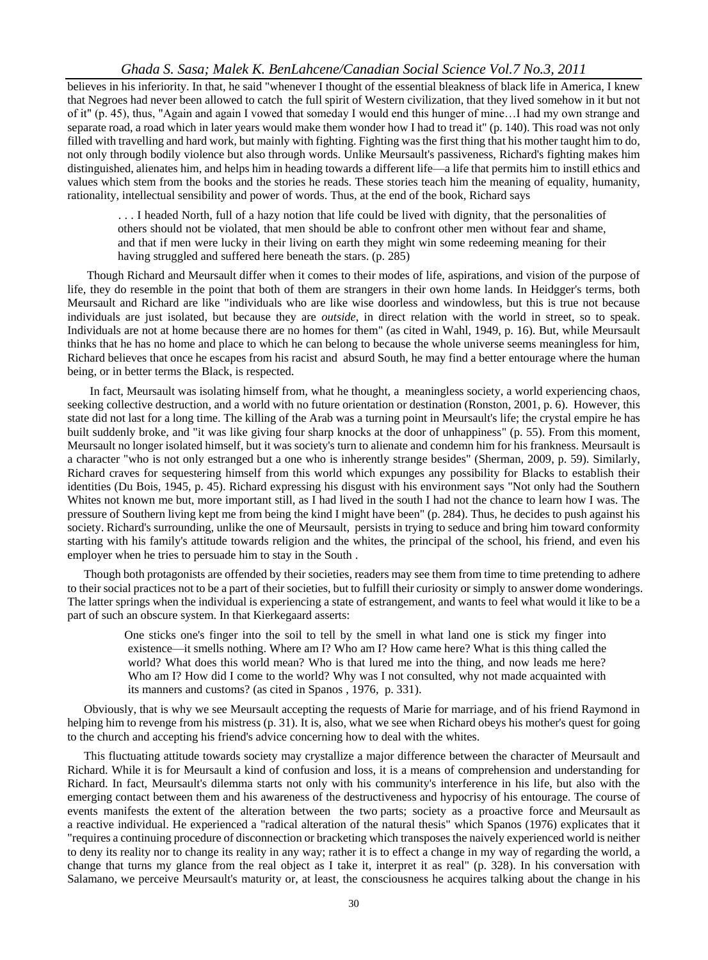#### *Ghada S. Sasa; Malek K. BenLahcene/Canadian Social Science Vol.7 No.3, 2011*

believes in his inferiority. In that, he said "whenever I thought of the essential bleakness of black life in America, I knew that Negroes had never been allowed to catch the full spirit of Western civilization, that they lived somehow in it but not of it" (p. 45), thus, "Again and again I vowed that someday I would end this hunger of mine…I had my own strange and separate road, a road which in later years would make them wonder how I had to tread it" (p. 140). This road was not only filled with travelling and hard work, but mainly with fighting. Fighting was the first thing that his mother taught him to do, not only through bodily violence but also through words. Unlike Meursault's passiveness, Richard's fighting makes him distinguished, alienates him, and helps him in heading towards a different life—a life that permits him to instill ethics and values which stem from the books and the stories he reads. These stories teach him the meaning of equality, humanity, rationality, intellectual sensibility and power of words. Thus, at the end of the book, Richard says

 . . . I headed North, full of a hazy notion that life could be lived with dignity, that the personalities of others should not be violated, that men should be able to confront other men without fear and shame, and that if men were lucky in their living on earth they might win some redeeming meaning for their having struggled and suffered here beneath the stars. (p. 285)

Though Richard and Meursault differ when it comes to their modes of life, aspirations, and vision of the purpose of life, they do resemble in the point that both of them are strangers in their own home lands. In Heidgger's terms, both Meursault and Richard are like "individuals who are like wise doorless and windowless, but this is true not because individuals are just isolated, but because they are *outside*, in direct relation with the world in street, so to speak. Individuals are not at home because there are no homes for them" (as cited in Wahl, 1949, p. 16). But, while Meursault thinks that he has no home and place to which he can belong to because the whole universe seems meaningless for him, Richard believes that once he escapes from his racist and absurd South, he may find a better entourage where the human being, or in better terms the Black, is respected.

 In fact, Meursault was isolating himself from, what he thought, a meaningless society, a world experiencing chaos, seeking collective destruction, and a world with no future orientation or destination (Ronston, 2001, p. 6). However, this state did not last for a long time. The killing of the Arab was a turning point in Meursault's life; the crystal empire he has built suddenly broke, and "it was like giving four sharp knocks at the door of unhappiness" (p. 55). From this moment, Meursault no longer isolated himself, but it was society's turn to alienate and condemn him for his frankness. Meursault is a character "who is not only estranged but a one who is inherently strange besides" (Sherman, 2009, p. 59). Similarly, Richard craves for sequestering himself from this world which expunges any possibility for Blacks to establish their identities (Du Bois, 1945, p. 45). Richard expressing his disgust with his environment says "Not only had the Southern Whites not known me but, more important still, as I had lived in the south I had not the chance to learn how I was. The pressure of Southern living kept me from being the kind I might have been" (p. 284). Thus, he decides to push against his society. Richard's surrounding, unlike the one of Meursault, persists in trying to seduce and bring him toward conformity starting with his family's attitude towards religion and the whites, the principal of the school, his friend, and even his employer when he tries to persuade him to stay in the South .

Though both protagonists are offended by their societies, readers may see them from time to time pretending to adhere to their social practices not to be a part of their societies, but to fulfill their curiosity or simply to answer dome wonderings. The latter springs when the individual is experiencing a state of estrangement, and wants to feel what would it like to be a part of such an obscure system. In that Kierkegaard asserts:

 One sticks one's finger into the soil to tell by the smell in what land one is stick my finger into existence—it smells nothing. Where am I? Who am I? How came here? What is this thing called the world? What does this world mean? Who is that lured me into the thing, and now leads me here? Who am I? How did I come to the world? Why was I not consulted, why not made acquainted with its manners and customs? (as cited in Spanos , 1976, p. 331).

Obviously, that is why we see Meursault accepting the requests of Marie for marriage, and of his friend Raymond in helping him to revenge from his mistress (p. 31). It is, also, what we see when Richard obeys his mother's quest for going to the church and accepting his friend's advice concerning how to deal with the whites.

This fluctuating attitude towards society may crystallize a major difference between the character of Meursault and Richard. While it is for Meursault a kind of confusion and loss, it is a means of comprehension and understanding for Richard. In fact, Meursault's dilemma starts not only with his community's interference in his life, but also with the emerging contact between them and his awareness of the destructiveness and hypocrisy of his entourage. The course of events manifests the extent of the alteration between the two parts; society as a proactive force and Meursault as a reactive individual. He experienced a "radical alteration of the natural thesis" which Spanos (1976) explicates that it "requires a continuing procedure of disconnection or bracketing which transposes the naively experienced world is neither to deny its reality nor to change its reality in any way; rather it is to effect a change in my way of regarding the world, a change that turns my glance from the real object as I take it, interpret it as real" (p. 328). In his conversation with Salamano, we perceive Meursault's maturity or, at least, the consciousness he acquires talking about the change in his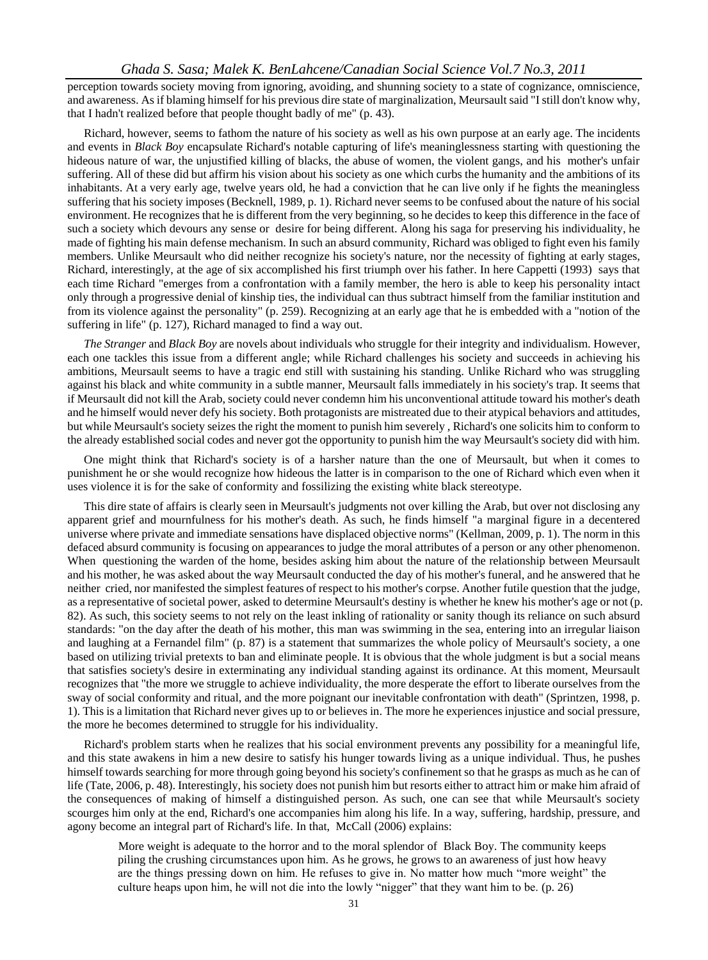perception towards society moving from ignoring, avoiding, and shunning society to a state of cognizance, omniscience, and awareness. As if blaming himself for his previous dire state of marginalization, Meursault said "I still don't know why, that I hadn't realized before that people thought badly of me" (p. 43).

Richard, however, seems to fathom the nature of his society as well as his own purpose at an early age. The incidents and events in *Black Boy* encapsulate Richard's notable capturing of life's meaninglessness starting with questioning the hideous nature of war, the unjustified killing of blacks, the abuse of women, the violent gangs, and his mother's unfair suffering. All of these did but affirm his vision about his society as one which curbs the humanity and the ambitions of its inhabitants. At a very early age, twelve years old, he had a conviction that he can live only if he fights the meaningless suffering that his society imposes (Becknell, 1989, p. 1). Richard never seems to be confused about the nature of his social environment. He recognizes that he is different from the very beginning, so he decides to keep this difference in the face of such a society which devours any sense or desire for being different. Along his saga for preserving his individuality, he made of fighting his main defense mechanism. In such an absurd community, Richard was obliged to fight even his family members. Unlike Meursault who did neither recognize his society's nature, nor the necessity of fighting at early stages, Richard, interestingly, at the age of six accomplished his first triumph over his father. In here Cappetti (1993) says that each time Richard "emerges from a confrontation with a family member, the hero is able to keep his personality intact only through a progressive denial of kinship ties, the individual can thus subtract himself from the familiar institution and from its violence against the personality" (p. 259). Recognizing at an early age that he is embedded with a "notion of the suffering in life" (p. 127), Richard managed to find a way out.

*The Stranger* and *Black Boy* are novels about individuals who struggle for their integrity and individualism. However, each one tackles this issue from a different angle; while Richard challenges his society and succeeds in achieving his ambitions, Meursault seems to have a tragic end still with sustaining his standing. Unlike Richard who was struggling against his black and white community in a subtle manner, Meursault falls immediately in his society's trap. It seems that if Meursault did not kill the Arab, society could never condemn him his unconventional attitude toward his mother's death and he himself would never defy his society. Both protagonists are mistreated due to their atypical behaviors and attitudes, but while Meursault's society seizes the right the moment to punish him severely , Richard's one solicits him to conform to the already established social codes and never got the opportunity to punish him the way Meursault's society did with him.

One might think that Richard's society is of a harsher nature than the one of Meursault, but when it comes to punishment he or she would recognize how hideous the latter is in comparison to the one of Richard which even when it uses violence it is for the sake of conformity and fossilizing the existing white black stereotype.

This dire state of affairs is clearly seen in Meursault's judgments not over killing the Arab, but over not disclosing any apparent grief and mournfulness for his mother's death. As such, he finds himself "a marginal figure in a decentered universe where private and immediate sensations have displaced objective norms" (Kellman, 2009, p. 1). The norm in this defaced absurd community is focusing on appearances to judge the moral attributes of a person or any other phenomenon. When questioning the warden of the home, besides asking him about the nature of the relationship between Meursault and his mother, he was asked about the way Meursault conducted the day of his mother's funeral, and he answered that he neither cried, nor manifested the simplest features of respect to his mother's corpse. Another futile question that the judge, as a representative of societal power, asked to determine Meursault's destiny is whether he knew his mother's age or not (p. 82). As such, this society seems to not rely on the least inkling of rationality or sanity though its reliance on such absurd standards: "on the day after the death of his mother, this man was swimming in the sea, entering into an irregular liaison and laughing at a Fernandel film" (p. 87) is a statement that summarizes the whole policy of Meursault's society, a one based on utilizing trivial pretexts to ban and eliminate people. It is obvious that the whole judgment is but a social means that satisfies society's desire in exterminating any individual standing against its ordinance. At this moment, Meursault recognizes that "the more we struggle to achieve individuality, the more desperate the effort to liberate ourselves from the sway of social conformity and ritual, and the more poignant our inevitable confrontation with death" (Sprintzen, 1998, p. 1). This is a limitation that Richard never gives up to or believes in. The more he experiences injustice and social pressure, the more he becomes determined to struggle for his individuality.

Richard's problem starts when he realizes that his social environment prevents any possibility for a meaningful life, and this state awakens in him a new desire to satisfy his hunger towards living as a unique individual. Thus, he pushes himself towards searching for more through going beyond his society's confinement so that he grasps as much as he can of life (Tate, 2006, p. 48). Interestingly, his society does not punish him but resorts either to attract him or make him afraid of the consequences of making of himself a distinguished person. As such, one can see that while Meursault's society scourges him only at the end, Richard's one accompanies him along his life. In a way, suffering, hardship, pressure, and agony become an integral part of Richard's life. In that, McCall (2006) explains:

 More weight is adequate to the horror and to the moral splendor of Black Boy. The community keeps piling the crushing circumstances upon him. As he grows, he grows to an awareness of just how heavy are the things pressing down on him. He refuses to give in. No matter how much "more weight" the culture heaps upon him, he will not die into the lowly "nigger" that they want him to be. (p. 26)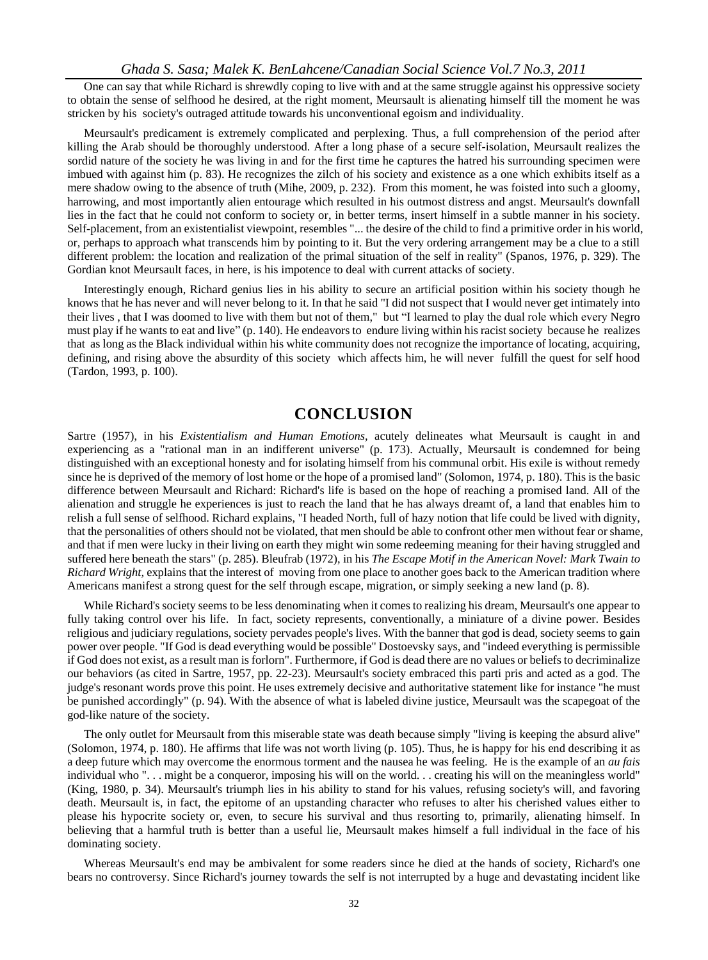One can say that while Richard is shrewdly coping to live with and at the same struggle against his oppressive society to obtain the sense of selfhood he desired, at the right moment, Meursault is alienating himself till the moment he was stricken by his society's outraged attitude towards his unconventional egoism and individuality.

Meursault's predicament is extremely complicated and perplexing. Thus, a full comprehension of the period after killing the Arab should be thoroughly understood. After a long phase of a secure self-isolation, Meursault realizes the sordid nature of the society he was living in and for the first time he captures the hatred his surrounding specimen were imbued with against him (p. 83). He recognizes the zilch of his society and existence as a one which exhibits itself as a mere shadow owing to the absence of truth (Mihe, 2009, p. 232). From this moment, he was foisted into such a gloomy, harrowing, and most importantly alien entourage which resulted in his outmost distress and angst. Meursault's downfall lies in the fact that he could not conform to society or, in better terms, insert himself in a subtle manner in his society. Self-placement, from an existentialist viewpoint, resembles "... the desire of the child to find a primitive order in his world, or, perhaps to approach what transcends him by pointing to it. But the very ordering arrangement may be a clue to a still different problem: the location and realization of the primal situation of the self in reality" (Spanos, 1976, p. 329). The Gordian knot Meursault faces, in here, is his impotence to deal with current attacks of society.

Interestingly enough, Richard genius lies in his ability to secure an artificial position within his society though he knows that he has never and will never belong to it. In that he said "I did not suspect that I would never get intimately into their lives , that I was doomed to live with them but not of them," but "I learned to play the dual role which every Negro must play if he wants to eat and live" (p. 140). He endeavors to endure living within his racist society because he realizes that as long as the Black individual within his white community does not recognize the importance of locating, acquiring, defining, and rising above the absurdity of this society which affects him, he will never fulfill the quest for self hood (Tardon, 1993, p. 100).

## **CONCLUSION**

Sartre (1957), in his *Existentialism and Human Emotions,* acutely delineates what Meursault is caught in and experiencing as a "rational man in an indifferent universe" (p. 173). Actually, Meursault is condemned for being distinguished with an exceptional honesty and for isolating himself from his communal orbit. His exile is without remedy since he is deprived of the memory of lost home or the hope of a promised land" (Solomon, 1974, p. 180). This is the basic difference between Meursault and Richard: Richard's life is based on the hope of reaching a promised land. All of the alienation and struggle he experiences is just to reach the land that he has always dreamt of, a land that enables him to relish a full sense of selfhood. Richard explains, "I headed North, full of hazy notion that life could be lived with dignity, that the personalities of others should not be violated, that men should be able to confront other men without fear or shame, and that if men were lucky in their living on earth they might win some redeeming meaning for their having struggled and suffered here beneath the stars" (p. 285). Bleufrab (1972), in his *The Escape Motif in the American Novel: Mark Twain to Richard Wright,* explains that the interest of moving from one place to another goes back to the American tradition where Americans manifest a strong quest for the self through escape, migration, or simply seeking a new land (p. 8).

While Richard's society seems to be less denominating when it comes to realizing his dream, Meursault's one appear to fully taking control over his life. In fact, society represents, conventionally, a miniature of a divine power. Besides religious and judiciary regulations, society pervades people's lives. With the banner that god is dead, society seems to gain power over people. "If God is dead everything would be possible" Dostoevsky says, and "indeed everything is permissible if God does not exist, as a result man is forlorn". Furthermore, if God is dead there are no values or beliefs to decriminalize our behaviors (as cited in Sartre, 1957, pp. 22-23). Meursault's society embraced this parti pris and acted as a god. The judge's resonant words prove this point. He uses extremely decisive and authoritative statement like for instance "he must be punished accordingly" (p. 94). With the absence of what is labeled divine justice, Meursault was the scapegoat of the god-like nature of the society.

The only outlet for Meursault from this miserable state was death because simply "living is keeping the absurd alive" (Solomon, 1974, p. 180). He affirms that life was not worth living (p. 105). Thus, he is happy for his end describing it as a deep future which may overcome the enormous torment and the nausea he was feeling. He is the example of an *au fais* individual who ". . . might be a conqueror, imposing his will on the world. . . creating his will on the meaningless world" (King, 1980, p. 34). Meursault's triumph lies in his ability to stand for his values, refusing society's will, and favoring death. Meursault is, in fact, the epitome of an upstanding character who refuses to alter his cherished values either to please his hypocrite society or, even, to secure his survival and thus resorting to, primarily, alienating himself. In believing that a harmful truth is better than a useful lie, Meursault makes himself a full individual in the face of his dominating society.

Whereas Meursault's end may be ambivalent for some readers since he died at the hands of society, Richard's one bears no controversy. Since Richard's journey towards the self is not interrupted by a huge and devastating incident like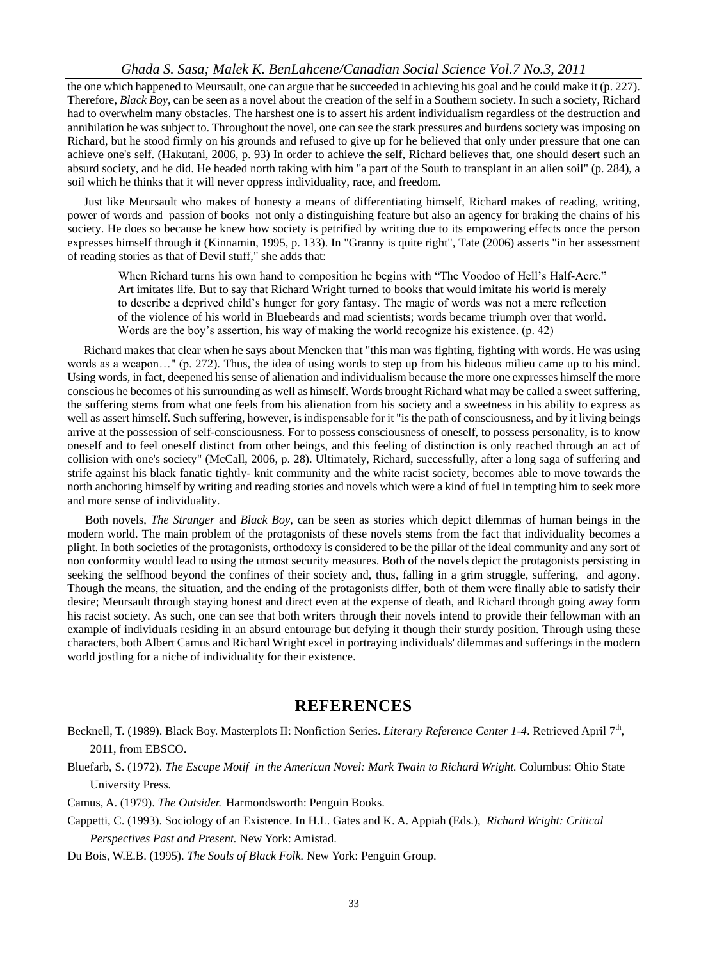#### *Ghada S. Sasa; Malek K. BenLahcene/Canadian Social Science Vol.7 No.3, 2011*

the one which happened to Meursault, one can argue that he succeeded in achieving his goal and he could make it (p. 227). Therefore, *Black Boy*, can be seen as a novel about the creation of the self in a Southern society. In such a society, Richard had to overwhelm many obstacles. The harshest one is to assert his ardent individualism regardless of the destruction and annihilation he was subject to. Throughout the novel, one can see the stark pressures and burdens society was imposing on Richard, but he stood firmly on his grounds and refused to give up for he believed that only under pressure that one can achieve one's self. (Hakutani, 2006, p. 93) In order to achieve the self, Richard believes that, one should desert such an absurd society, and he did. He headed north taking with him "a part of the South to transplant in an alien soil" (p. 284), a soil which he thinks that it will never oppress individuality, race, and freedom.

Just like Meursault who makes of honesty a means of differentiating himself, Richard makes of reading, writing, power of words and passion of books not only a distinguishing feature but also an agency for braking the chains of his society. He does so because he knew how society is petrified by writing due to its empowering effects once the person expresses himself through it (Kinnamin, 1995, p. 133). In "Granny is quite right", Tate (2006) asserts "in her assessment of reading stories as that of Devil stuff," she adds that:

 When Richard turns his own hand to composition he begins with "The Voodoo of Hell's Half-Acre." Art imitates life. But to say that Richard Wright turned to books that would imitate his world is merely to describe a deprived child's hunger for gory fantasy. The magic of words was not a mere reflection of the violence of his world in Bluebeards and mad scientists; words became triumph over that world. Words are the boy's assertion, his way of making the world recognize his existence. (p. 42)

Richard makes that clear when he says about Mencken that "this man was fighting, fighting with words. He was using words as a weapon..." (p. 272). Thus, the idea of using words to step up from his hideous milieu came up to his mind. Using words, in fact, deepened his sense of alienation and individualism because the more one expresses himself the more conscious he becomes of his surrounding as well as himself. Words brought Richard what may be called a sweet suffering, the suffering stems from what one feels from his alienation from his society and a sweetness in his ability to express as well as assert himself. Such suffering, however, is indispensable for it "is the path of consciousness, and by it living beings arrive at the possession of self-consciousness. For to possess consciousness of oneself, to possess personality, is to know oneself and to feel oneself distinct from other beings, and this feeling of distinction is only reached through an act of collision with one's society" (McCall, 2006, p. 28). Ultimately, Richard, successfully, after a long saga of suffering and strife against his black fanatic tightly- knit community and the white racist society, becomes able to move towards the north anchoring himself by writing and reading stories and novels which were a kind of fuel in tempting him to seek more and more sense of individuality.

Both novels, *The Stranger* and *Black Boy,* can be seen as stories which depict dilemmas of human beings in the modern world. The main problem of the protagonists of these novels stems from the fact that individuality becomes a plight. In both societies of the protagonists, orthodoxy is considered to be the pillar of the ideal community and any sort of non conformity would lead to using the utmost security measures. Both of the novels depict the protagonists persisting in seeking the selfhood beyond the confines of their society and, thus, falling in a grim struggle, suffering, and agony. Though the means, the situation, and the ending of the protagonists differ, both of them were finally able to satisfy their desire; Meursault through staying honest and direct even at the expense of death, and Richard through going away form his racist society. As such, one can see that both writers through their novels intend to provide their fellowman with an example of individuals residing in an absurd entourage but defying it though their sturdy position. Through using these characters, both Albert Camus and Richard Wright excel in portraying individuals' dilemmas and sufferings in the modern world jostling for a niche of individuality for their existence.

## **REFERENCES**

Becknell, T. (1989). Black Boy. Masterplots II: Nonfiction Series. *Literary Reference Center 1-4*. Retrieved April 7<sup>th</sup>, 2011, from EBSCO.

Bluefarb, S. (1972). *The Escape Motif in the American Novel: Mark Twain to Richard Wright.* Columbus: Ohio State University Press*.* 

Camus, A. (1979). *The Outsider.* Harmondsworth: Penguin Books.

Cappetti, C. (1993). Sociology of an Existence. In H.L. Gates and K. A. Appiah (Eds.), *Richard Wright: Critical Perspectives Past and Present.* New York: Amistad.

Du Bois, W.E.B. (1995). *The Souls of Black Folk.* New York: Penguin Group.